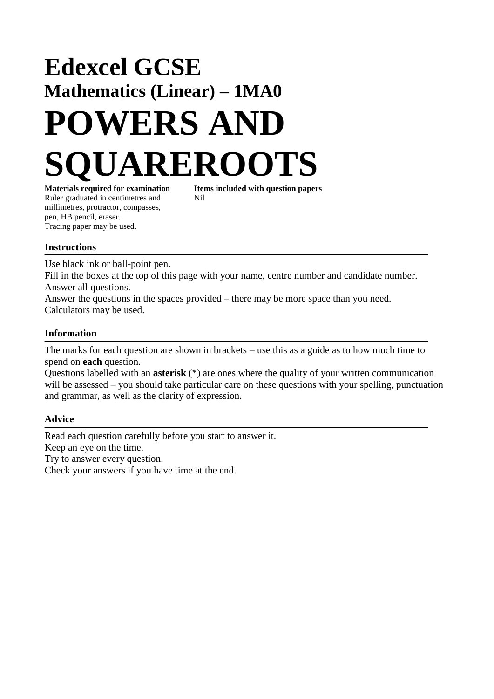# **Edexcel GCSE Mathematics (Linear) – 1MA0 POWERS AND UAREROOTS**

Ruler graduated in centimetres and Nil millimetres, protractor, compasses, pen, HB pencil, eraser. Tracing paper may be used.

**Materials required for examination Items included with question papers**

### **Instructions**

Use black ink or ball-point pen.

Fill in the boxes at the top of this page with your name, centre number and candidate number. Answer all questions.

Answer the questions in the spaces provided – there may be more space than you need. Calculators may be used.

### **Information**

The marks for each question are shown in brackets – use this as a guide as to how much time to spend on **each** question.

Questions labelled with an **asterisk** (\*) are ones where the quality of your written communication will be assessed – you should take particular care on these questions with your spelling, punctuation and grammar, as well as the clarity of expression.

### **Advice**

Read each question carefully before you start to answer it. Keep an eye on the time. Try to answer every question. Check your answers if you have time at the end.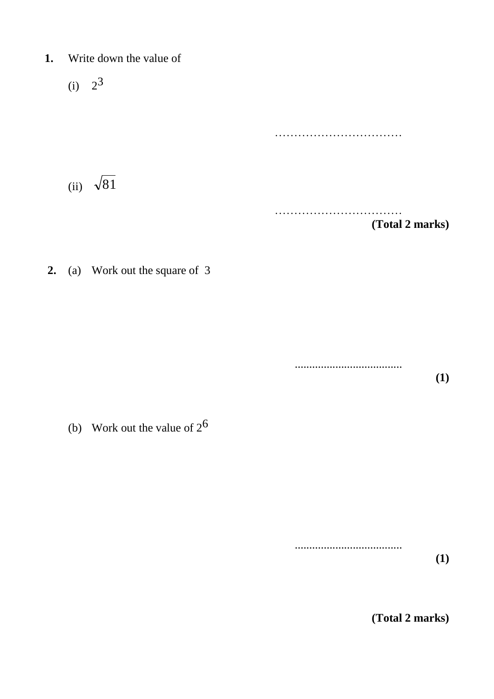- **1.** Write down the value of
	- $(i) 2^3$ …………………………… (ii)  $\sqrt{81}$ …………………………… **(Total 2 marks)**
- **2.** (a) Work out the square of 3

..................................... **(1)**

(b) Work out the value of  $2^6$ 

.....................................

**(Total 2 marks)**

**(1)**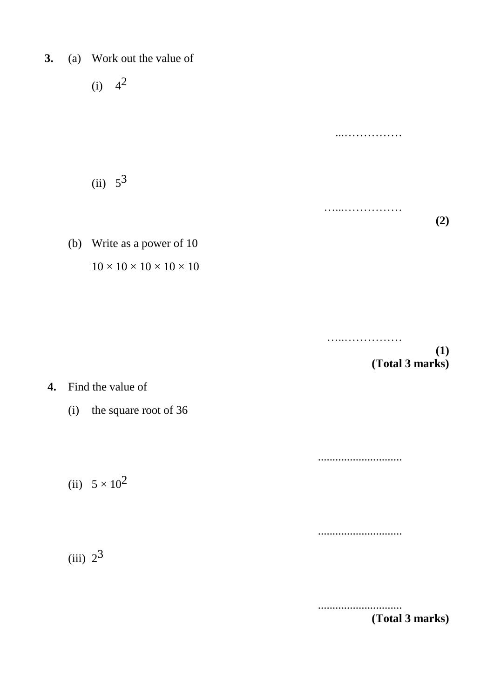**3.** (a) Work out the value of

(i)  $4^2$ 

 $(ii) 5^3$ 

(b) Write as a power of 10

 $10 \times 10 \times 10 \times 10 \times 10$ 

…………………… **(1) (Total 3 marks)**

**(2)**

...……………

…...……………

**4.** Find the value of

(i) the square root of 36

(ii)  $5 \times 10^2$ 

 $(iii)$   $2^3$ 

.............................

.............................

.............................

**(Total 3 marks)**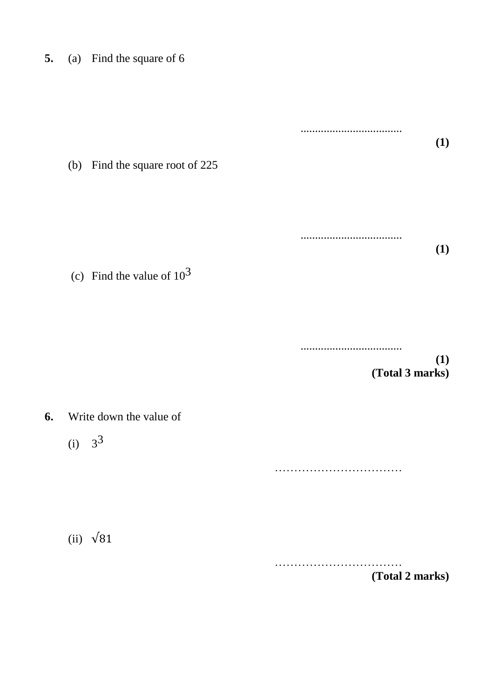| 5. | (a) |  |  | Find the square of 6 |  |  |
|----|-----|--|--|----------------------|--|--|
|----|-----|--|--|----------------------|--|--|

................................... **(1)** (b) Find the square root of 225 ................................... **(1)** (c) Find the value of  $10^3$ ................................... **(1) (Total 3 marks) 6.** Write down the value of  $(i) 3^3$ ……………………………

(ii)  $\sqrt{81}$ 

…………………………… **(Total 2 marks)**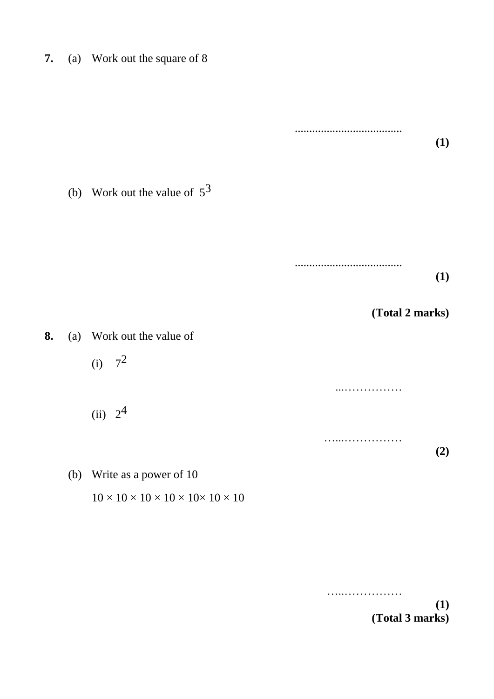**7.** (a) Work out the square of 8

..................................... **(1)** (b) Work out the value of  $5^3$ ..................................... **(1) (Total 2 marks) 8.** (a) Work out the value of  $(i) 7^2$ ...……………  $(ii) 2<sup>4</sup>$ …………………… **(2)**

 $10 \times 10 \times 10 \times 10 \times 10 \times 10 \times 10$ 

(b) Write as a power of 10

…..……………

**(1) (Total 3 marks)**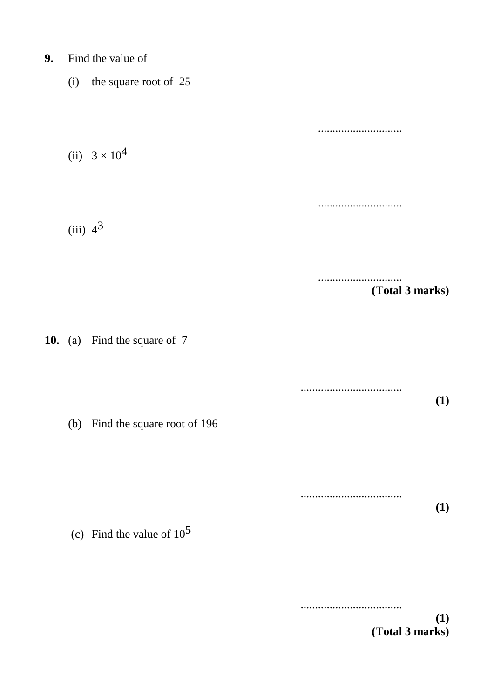- **9.** Find the value of
	- (i) the square root of 25

............................. (ii)  $3 \times 10^4$ .............................  $(iii)$  4<sup>3</sup> ............................. **(Total 3 marks) 10.** (a) Find the square of 7 ................................... **(1)** (b) Find the square root of 196 ................................... **(1)**

(c) Find the value of  $10^5$ 

...................................

**(1) (Total 3 marks)**